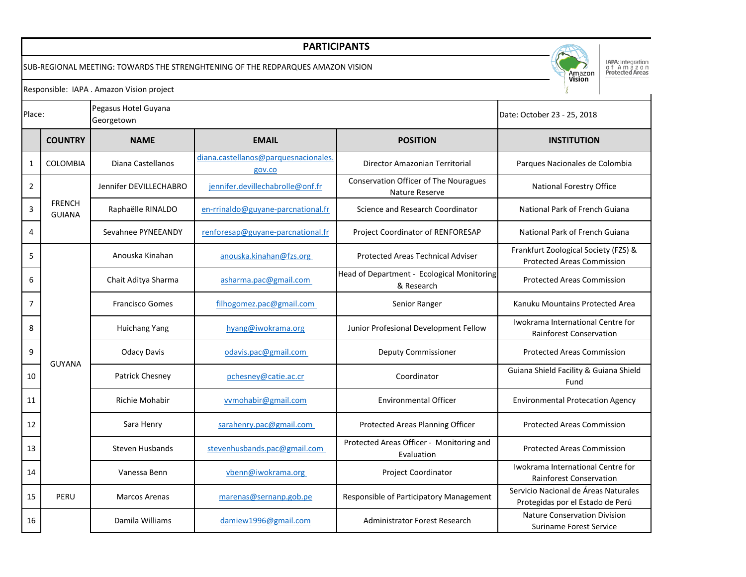## **PARTICIPANTS**

SUB-REGIONAL MEETING: TOWARDS THE STRENGHTENING OF THE REDPARQUES AMAZON VISION



IAPA: Integration<br>o f A m a z o n<br>Protected Areas

Responsible: IAPA . Amazon Vision project

| Place:         |                                | Pegasus Hotel Guyana<br>Georgetown |                                               |                                                          | Date: October 23 - 25, 2018                                               |
|----------------|--------------------------------|------------------------------------|-----------------------------------------------|----------------------------------------------------------|---------------------------------------------------------------------------|
|                | <b>COUNTRY</b>                 | <b>NAME</b>                        | <b>EMAIL</b>                                  | <b>POSITION</b>                                          | <b>INSTITUTION</b>                                                        |
| $\mathbf{1}$   | <b>COLOMBIA</b>                | Diana Castellanos                  | diana.castellanos@parquesnacionales<br>gov.co | Director Amazonian Territorial                           | Parques Nacionales de Colombia                                            |
| $\overline{2}$ | <b>FRENCH</b><br><b>GUIANA</b> | Jennifer DEVILLECHABRO             | jennifer.devillechabrolle@onf.fr              | Conservation Officer of The Nouragues<br>Nature Reserve  | National Forestry Office                                                  |
| $\mathsf 3$    |                                | Raphaëlle RINALDO                  | en-rrinaldo@guyane-parcnational.fr            | Science and Research Coordinator                         | National Park of French Guiana                                            |
| $\overline{4}$ |                                | Sevahnee PYNEEANDY                 | renforesap@guyane-parcnational.fr             | Project Coordinator of RENFORESAP                        | National Park of French Guiana                                            |
| 5              | <b>GUYANA</b>                  | Anouska Kinahan                    | anouska.kinahan@fzs.org                       | <b>Protected Areas Technical Adviser</b>                 | Frankfurt Zoological Society (FZS) &<br><b>Protected Areas Commission</b> |
| 6              |                                | Chait Aditya Sharma                | asharma.pac@gmail.com                         | Head of Department - Ecological Monitoring<br>& Research | <b>Protected Areas Commission</b>                                         |
| $\overline{7}$ |                                | <b>Francisco Gomes</b>             | filhogomez.pac@gmail.com                      | Senior Ranger                                            | Kanuku Mountains Protected Area                                           |
| 8              |                                | Huichang Yang                      | hyang@iwokrama.org                            | Junior Profesional Development Fellow                    | Iwokrama International Centre for<br><b>Rainforest Conservation</b>       |
| 9              |                                | <b>Odacy Davis</b>                 | odavis.pac@gmail.com                          | Deputy Commissioner                                      | <b>Protected Areas Commission</b>                                         |
| 10             |                                | Patrick Chesney                    | pchesney@catie.ac.cr                          | Coordinator                                              | Guiana Shield Facility & Guiana Shield<br>Fund                            |
| 11             |                                | <b>Richie Mohabir</b>              | vvmohabir@gmail.com                           | <b>Environmental Officer</b>                             | <b>Environmental Protecation Agency</b>                                   |
| 12             |                                | Sara Henry                         | sarahenry.pac@gmail.com                       | Protected Areas Planning Officer                         | <b>Protected Areas Commission</b>                                         |
| 13             |                                | Steven Husbands                    | stevenhusbands.pac@gmail.com                  | Protected Areas Officer - Monitoring and<br>Evaluation   | <b>Protected Areas Commission</b>                                         |
| 14             |                                | Vanessa Benn                       | vbenn@iwokrama.org                            | <b>Project Coordinator</b>                               | Iwokrama International Centre for<br><b>Rainforest Conservation</b>       |
| 15             | PERU                           | <b>Marcos Arenas</b>               | marenas@sernanp.gob.pe                        | Responsible of Participatory Management                  | Servicio Nacional de Áreas Naturales<br>Protegidas por el Estado de Perú  |
| 16             |                                | Damila Williams                    | damiew1996@gmail.com                          | Administrator Forest Research                            | <b>Nature Conservation Division</b><br>Suriname Forest Service            |